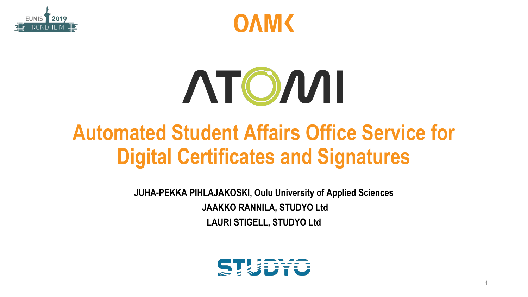



# ATOMI

### **Automated Student Affairs Office Service for Digital Certificates and Signatures**

**JUHA-PEKKA PIHLAJAKOSKI, Oulu University of Applied Sciences JAAKKO RANNILA, STUDYO Ltd LAURI STIGELL, STUDYO Ltd**

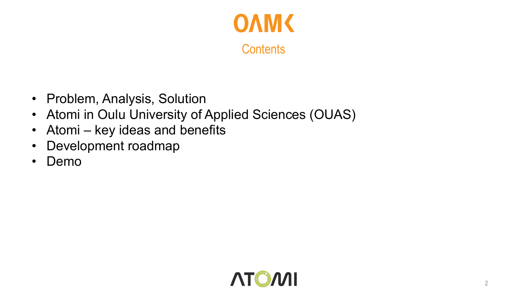

- Problem, Analysis, Solution
- Atomi in Oulu University of Applied Sciences (OUAS)
- Atomi key ideas and benefits
- Development roadmap
- Demo

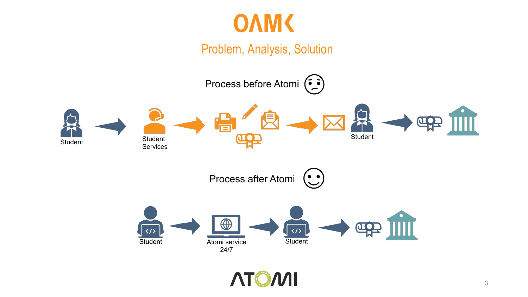

Problem, Analysis, Solution

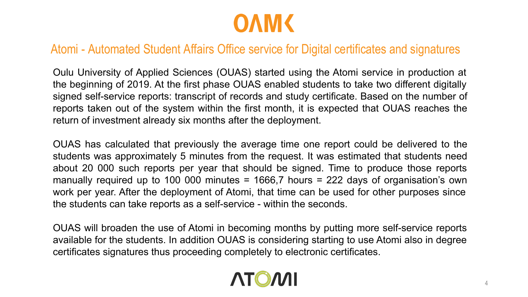

#### Atomi - Automated Student Affairs Office service for Digital certificates and signatures

Oulu University of Applied Sciences (OUAS) started using the Atomi service in production at the beginning of 2019. At the first phase OUAS enabled students to take two different digitally signed self-service reports: transcript of records and study certificate. Based on the number of reports taken out of the system within the first month, it is expected that OUAS reaches the return of investment already six months after the deployment.

OUAS has calculated that previously the average time one report could be delivered to the students was approximately 5 minutes from the request. It was estimated that students need about 20 000 such reports per year that should be signed. Time to produce those reports manually required up to 100 000 minutes = 1666,7 hours = 222 days of organisation's own work per year. After the deployment of Atomi, that time can be used for other purposes since the students can take reports as a self-service - within the seconds.

OUAS will broaden the use of Atomi in becoming months by putting more self-service reports available for the students. In addition OUAS is considering starting to use Atomi also in degree certificates signatures thus proceeding completely to electronic certificates.

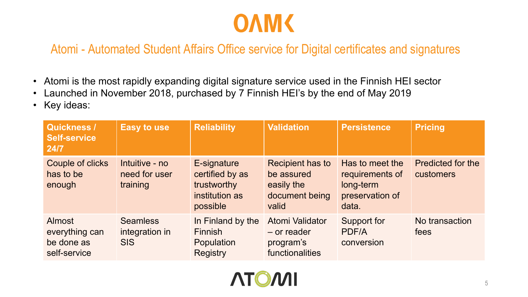

#### Atomi - Automated Student Affairs Office service for Digital certificates and signatures

- Atomi is the most rapidly expanding digital signature service used in the Finnish HEI sector
- Launched in November 2018, purchased by 7 Finnish HEI's by the end of May 2019
- Key ideas:

| Quickness /<br><b>Self-service</b><br>24/7             | <b>Easy to use</b>                              | <b>Reliability</b>                                                          | <b>Validation</b>                                                              | <b>Persistence</b>                                                          | <b>Pricing</b>                        |
|--------------------------------------------------------|-------------------------------------------------|-----------------------------------------------------------------------------|--------------------------------------------------------------------------------|-----------------------------------------------------------------------------|---------------------------------------|
| Couple of clicks<br>has to be<br>enough                | Intuitive - no<br>need for user<br>training     | E-signature<br>certified by as<br>trustworthy<br>institution as<br>possible | <b>Recipient has to</b><br>be assured<br>easily the<br>document being<br>valid | Has to meet the<br>requirements of<br>long-term<br>preservation of<br>data. | <b>Predicted for the</b><br>customers |
| Almost<br>everything can<br>be done as<br>self-service | <b>Seamless</b><br>integration in<br><b>SIS</b> | In Finland by the<br><b>Finnish</b><br>Population<br><b>Registry</b>        | Atomi Validator<br>$-$ or reader<br>program's<br>functionalities               | Support for<br>PDF/A<br>conversion                                          | No transaction<br>fees                |

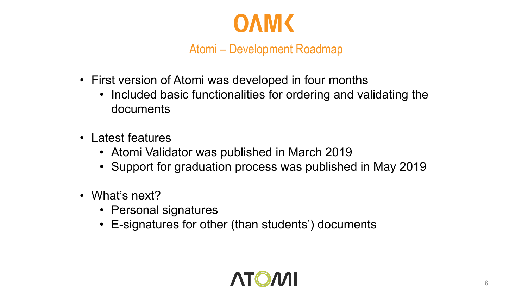

Atomi – Development Roadmap

- First version of Atomi was developed in four months
	- Included basic functionalities for ordering and validating the documents
- Latest features
	- Atomi Validator was published in March 2019
	- Support for graduation process was published in May 2019
- What's next?
	- Personal signatures
	- E-signatures for other (than students') documents

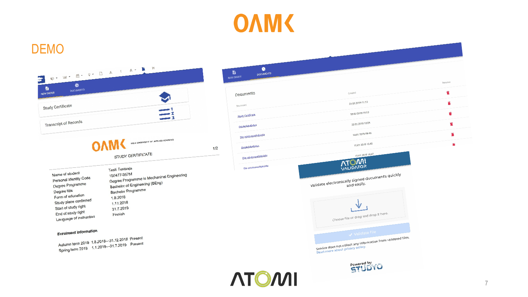## **OAM<br/>**